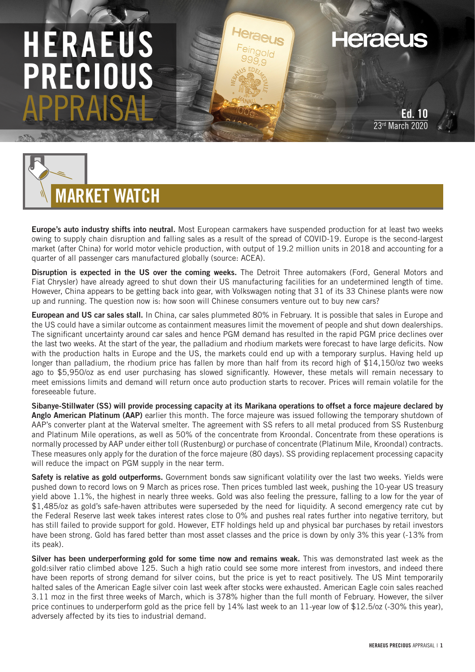# HERAEUS RECIOU APPRAISAL

**Heraeus** 

Ed. 10 23rd March 2020



Europe's auto industry shifts into neutral. Most European carmakers have suspended production for at least two weeks owing to supply chain disruption and falling sales as a result of the spread of COVID-19. Europe is the second-largest market (after China) for world motor vehicle production, with output of 19.2 million units in 2018 and accounting for a quarter of all passenger cars manufactured globally (source: ACEA).

Disruption is expected in the US over the coming weeks. The Detroit Three automakers (Ford, General Motors and Fiat Chrysler) have already agreed to shut down their US manufacturing facilities for an undetermined length of time. However, China appears to be getting back into gear, with Volkswagen noting that 31 of its 33 Chinese plants were now up and running. The question now is: how soon will Chinese consumers venture out to buy new cars?

European and US car sales stall. In China, car sales plummeted 80% in February. It is possible that sales in Europe and the US could have a similar outcome as containment measures limit the movement of people and shut down dealerships. The significant uncertainty around car sales and hence PGM demand has resulted in the rapid PGM price declines over the last two weeks. At the start of the year, the palladium and rhodium markets were forecast to have large deficits. Now with the production halts in Europe and the US, the markets could end up with a temporary surplus. Having held up longer than palladium, the rhodium price has fallen by more than half from its record high of \$14,150/oz two weeks ago to \$5,950/oz as end user purchasing has slowed significantly. However, these metals will remain necessary to meet emissions limits and demand will return once auto production starts to recover. Prices will remain volatile for the foreseeable future.

Sibanye-Stillwater (SS) will provide processing capacity at its Marikana operations to offset a force majeure declared by Anglo American Platinum (AAP) earlier this month. The force majeure was issued following the temporary shutdown of AAP's converter plant at the Waterval smelter. The agreement with SS refers to all metal produced from SS Rustenburg and Platinum Mile operations, as well as 50% of the concentrate from Kroondal. Concentrate from these operations is normally processed by AAP under either toll (Rustenburg) or purchase of concentrate (Platinum Mile, Kroondal) contracts. These measures only apply for the duration of the force majeure (80 days). SS providing replacement processing capacity will reduce the impact on PGM supply in the near term.

Safety is relative as gold outperforms. Government bonds saw significant volatility over the last two weeks. Yields were pushed down to record lows on 9 March as prices rose. Then prices tumbled last week, pushing the 10-year US treasury yield above 1.1%, the highest in nearly three weeks. Gold was also feeling the pressure, falling to a low for the year of \$1,485/oz as gold's safe-haven attributes were superseded by the need for liquidity. A second emergency rate cut by the Federal Reserve last week takes interest rates close to 0% and pushes real rates further into negative territory, but has still failed to provide support for gold. However, ETF holdings held up and physical bar purchases by retail investors have been strong. Gold has fared better than most asset classes and the price is down by only 3% this year (-13% from its peak).

Silver has been underperforming gold for some time now and remains weak. This was demonstrated last week as the gold:silver ratio climbed above 125. Such a high ratio could see some more interest from investors, and indeed there have been reports of strong demand for silver coins, but the price is yet to react positively. The US Mint temporarily halted sales of the American Eagle silver coin last week after stocks were exhausted. American Eagle coin sales reached 3.11 moz in the first three weeks of March, which is 378% higher than the full month of February. However, the silver price continues to underperform gold as the price fell by 14% last week to an 11-year low of \$12.5/oz (-30% this year), adversely affected by its ties to industrial demand.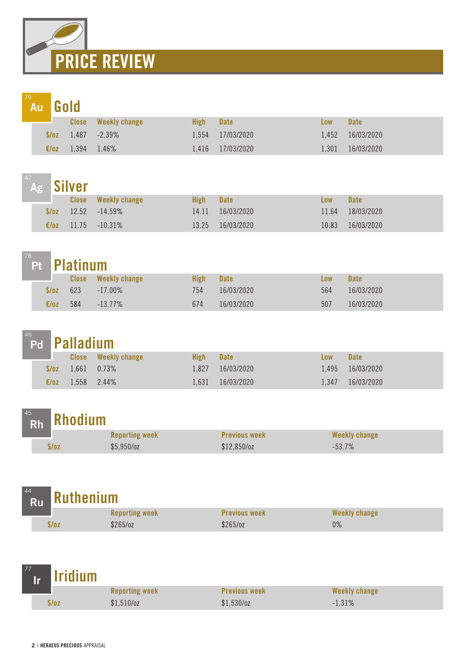

|  |                | <b>Au</b> Gold |                            |             |                  |       |             |
|--|----------------|----------------|----------------------------|-------------|------------------|-------|-------------|
|  |                | <b>Close</b>   | <b>Weekly change</b>       | <b>High</b> | <b>Date</b>      | Low   | <b>Date</b> |
|  |                |                | $\sqrt{$70z}$ 1,487 -2.39% |             | 1,554 17/03/2020 | 1.452 | 16/03/2020  |
|  | $\epsilon$ /0Z | 1,394 1.46%    |                            |             | 1,416 17/03/2020 | 1.301 | 16/03/2020  |

|       | <sup>47</sup> Ag Silver |                            |             |             |       |             |
|-------|-------------------------|----------------------------|-------------|-------------|-------|-------------|
|       |                         | <b>Close</b> Weekly change | <b>High</b> | <b>Date</b> | Low   | <b>Date</b> |
| \$/oz |                         | $12.52 - 14.59\%$          | 14.11       | 16/03/2020  | 11.64 | 18/03/2020  |
| E/0Z  | 11.75                   | $-10.31\%$                 | 13.25       | 16/03/2020  | 10.83 | 16/03/2020  |

|       | <b>Pt</b> Platinum |               |             |             |     |             |  |  |  |  |
|-------|--------------------|---------------|-------------|-------------|-----|-------------|--|--|--|--|
|       | Close              | Weekly change | <b>High</b> | <b>Date</b> | Low | <b>Date</b> |  |  |  |  |
| \$/oz | 623                | $-17.00\%$    | 754         | 16/03/2020  | 564 | 16/03/2020  |  |  |  |  |
| €/oz  | 584                | $-13.77\%$    | 674         | 16/03/2020  | 507 | 16/03/2020  |  |  |  |  |

| 46 |                                   | <b>Palladium</b> |                            |             |             |            |                  |  |
|----|-----------------------------------|------------------|----------------------------|-------------|-------------|------------|------------------|--|
|    | <b>Contract Contract Contract</b> |                  | <b>Close</b> Weekly change | <b>High</b> | <b>Date</b> | <b>Low</b> | <b>Date</b>      |  |
|    |                                   |                  | $\sqrt{$782}$ 1,661 0.73%  | 1.827       | 16/03/2020  |            | 1,495 16/03/2020 |  |
|    | $\epsilon$ /0Z                    | 1,558 2.44%      |                            | 1.631       | 16/03/2020  | 1.347      | 16/03/2020       |  |

| 45        |                |
|-----------|----------------|
| <b>Rh</b> | <b>Rhodium</b> |

 $\sim$ 

|       | <b>Reporting week</b> | <b>Previous week</b> | Weekly change |
|-------|-----------------------|----------------------|---------------|
| \$/oz | \$5,950/cz            | $$12,850$ /oz        | $-53.7%$      |

| 44<br>$\mathring{\mathsf{R}}_\mathsf{u}$ Ruthenium |      |                       |                      |               |  |  |  |  |  |
|----------------------------------------------------|------|-----------------------|----------------------|---------------|--|--|--|--|--|
|                                                    |      | <b>Reporting week</b> | <b>Previous week</b> | Weekly change |  |  |  |  |  |
|                                                    | s/oz | \$265/oz              | \$265/oz             | $0\%$         |  |  |  |  |  |

| $\frac{77}{16}$ ridium |                       |                      |               |  |
|------------------------|-----------------------|----------------------|---------------|--|
|                        | <b>Reporting week</b> | <b>Previous week</b> | Weekly change |  |
| \$/oz                  | $$1,510$ /oz          | $$1,530$ /oz         | $-1.31\%$     |  |